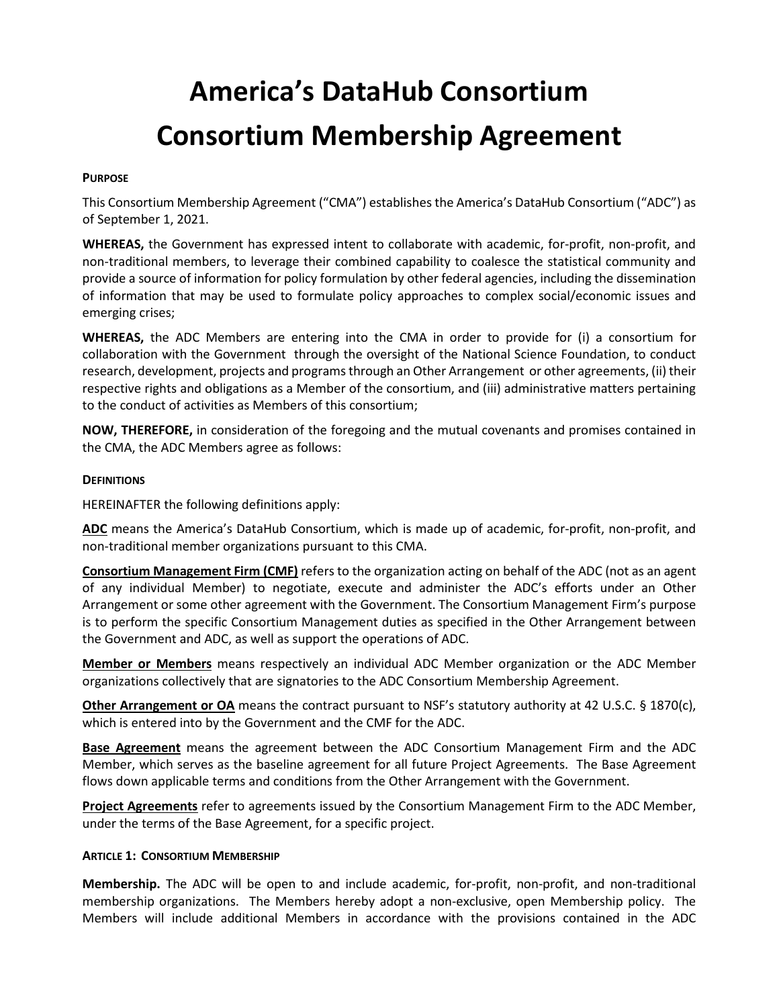# **America's DataHub Consortium Consortium Membership Agreement**

#### **PURPOSE**

This Consortium Membership Agreement ("CMA") establishes the America's DataHub Consortium ("ADC") as of September 1, 2021.

**WHEREAS,** the Government has expressed intent to collaborate with academic, for-profit, non-profit, and non-traditional members, to leverage their combined capability to coalesce the statistical community and provide a source of information for policy formulation by other federal agencies, including the dissemination of information that may be used to formulate policy approaches to complex social/economic issues and emerging crises;

**WHEREAS,** the ADC Members are entering into the CMA in order to provide for (i) a consortium for collaboration with the Government through the oversight of the National Science Foundation, to conduct research, development, projects and programs through an Other Arrangement or other agreements, (ii) their respective rights and obligations as a Member of the consortium, and (iii) administrative matters pertaining to the conduct of activities as Members of this consortium;

**NOW, THEREFORE,** in consideration of the foregoing and the mutual covenants and promises contained in the CMA, the ADC Members agree as follows:

#### **DEFINITIONS**

HEREINAFTER the following definitions apply:

**ADC** means the America's DataHub Consortium, which is made up of academic, for-profit, non-profit, and non-traditional member organizations pursuant to this CMA.

**Consortium Management Firm (CMF)** refers to the organization acting on behalf of the ADC (not as an agent of any individual Member) to negotiate, execute and administer the ADC's efforts under an Other Arrangement or some other agreement with the Government. The Consortium Management Firm's purpose is to perform the specific Consortium Management duties as specified in the Other Arrangement between the Government and ADC, as well as support the operations of ADC.

**Member or Members** means respectively an individual ADC Member organization or the ADC Member organizations collectively that are signatories to the ADC Consortium Membership Agreement.

**Other Arrangement or OA** means the contract pursuant to NSF's statutory authority at 42 U.S.C. § 1870(c), which is entered into by the Government and the CMF for the ADC.

**Base Agreement** means the agreement between the ADC Consortium Management Firm and the ADC Member, which serves as the baseline agreement for all future Project Agreements. The Base Agreement flows down applicable terms and conditions from the Other Arrangement with the Government.

**Project Agreements** refer to agreements issued by the Consortium Management Firm to the ADC Member, under the terms of the Base Agreement, for a specific project.

#### **ARTICLE 1: CONSORTIUM MEMBERSHIP**

**Membership.** The ADC will be open to and include academic, for-profit, non-profit, and non-traditional membership organizations. The Members hereby adopt a non-exclusive, open Membership policy. The Members will include additional Members in accordance with the provisions contained in the ADC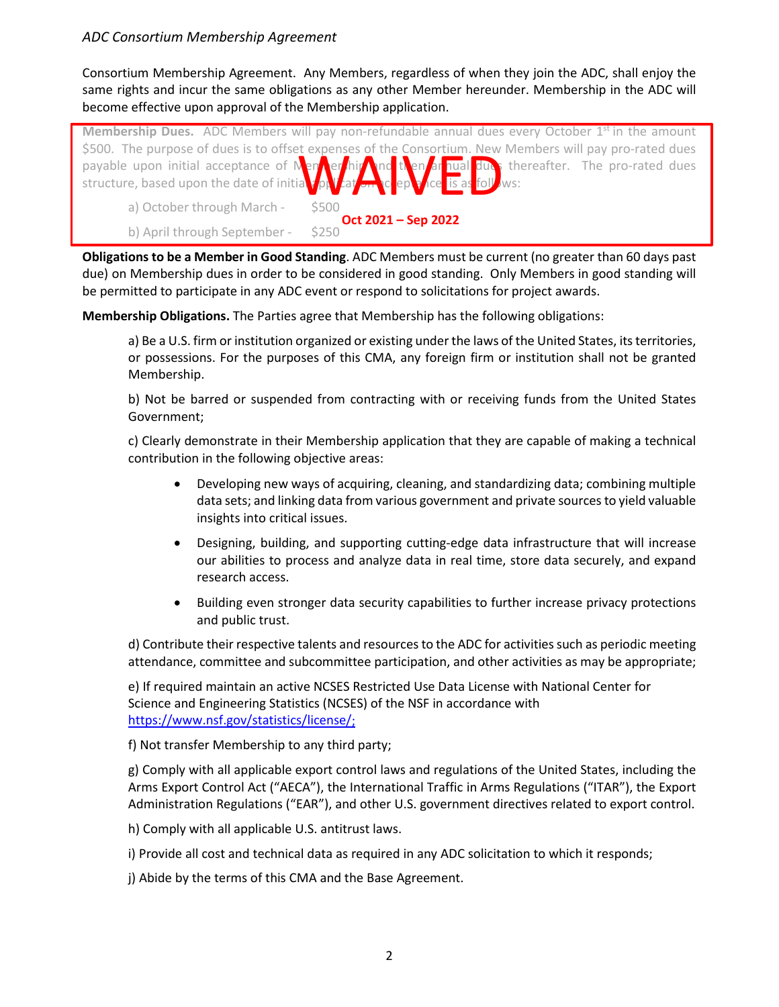# *ADC Consortium Membership Agreement*

Consortium Membership Agreement. Any Members, regardless of when they join the ADC, shall enjoy the same rights and incur the same obligations as any other Member hereunder. Membership in the ADC will become effective upon approval of the Membership application.

**Membership Dues.** ADC Members will pay non-refundable annual dues every October 1<sup>st</sup> in the amount \$500. The purpose of dues is to offset expenses of the Consortium. New Members will pay pro-rated dues payable upon initial acceptance of Membership and then annual dues thereafter. The pro-rated dues structure, based upon the date of initial  $\sqrt{\rho}$   $\sqrt{\sigma}$  at  $\frac{1}{2}$  at  $\frac{1}{2}$  and  $\frac{1}{2}$  as follows: a) October through March b) April through September - \$250 Repenses of the Consortium. New **Oct 2021 – Sep 2022**

**Obligations to be a Member in Good Standing**. ADC Members must be current (no greater than 60 days past due) on Membership dues in order to be considered in good standing. Only Members in good standing will be permitted to participate in any ADC event or respond to solicitations for project awards.

**Membership Obligations.** The Parties agree that Membership has the following obligations:

a) Be a U.S. firm or institution organized or existing under the laws of the United States, its territories, or possessions. For the purposes of this CMA, any foreign firm or institution shall not be granted Membership.

b) Not be barred or suspended from contracting with or receiving funds from the United States Government;

c) Clearly demonstrate in their Membership application that they are capable of making a technical contribution in the following objective areas:

- Developing new ways of acquiring, cleaning, and standardizing data; combining multiple data sets; and linking data from various government and private sources to yield valuable insights into critical issues.
- Designing, building, and supporting cutting-edge data infrastructure that will increase our abilities to process and analyze data in real time, store data securely, and expand research access.
- Building even stronger data security capabilities to further increase privacy protections and public trust.

d) Contribute their respective talents and resources to the ADC for activities such as periodic meeting attendance, committee and subcommittee participation, and other activities as may be appropriate;

e) If required maintain an active NCSES Restricted Use Data License with National Center for Science and Engineering Statistics (NCSES) of the NSF in accordance with [https://www.nsf.gov/statistics/license/;](https://www.nsf.gov/statistics/license/)

f) Not transfer Membership to any third party;

g) Comply with all applicable export control laws and regulations of the United States, including the Arms Export Control Act ("AECA"), the International Traffic in Arms Regulations ("ITAR"), the Export Administration Regulations ("EAR"), and other U.S. government directives related to export control.

h) Comply with all applicable U.S. antitrust laws.

i) Provide all cost and technical data as required in any ADC solicitation to which it responds;

j) Abide by the terms of this CMA and the Base Agreement.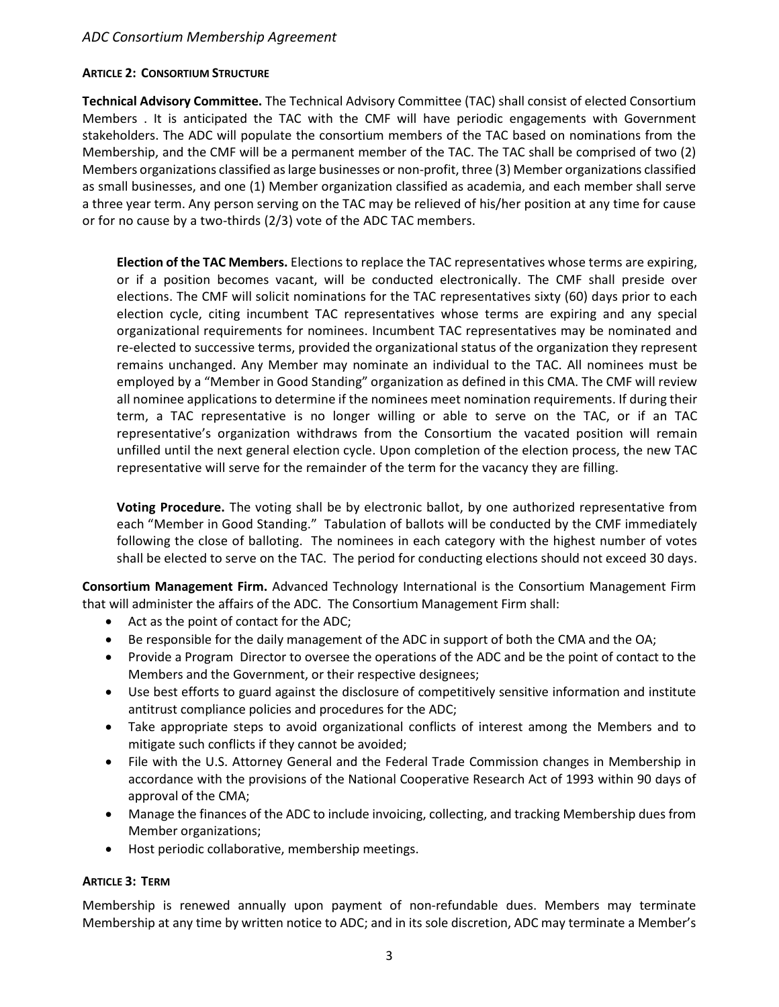# *ADC Consortium Membership Agreement*

#### **ARTICLE 2: CONSORTIUM STRUCTURE**

**Technical Advisory Committee.** The Technical Advisory Committee (TAC) shall consist of elected Consortium Members . It is anticipated the TAC with the CMF will have periodic engagements with Government stakeholders. The ADC will populate the consortium members of the TAC based on nominations from the Membership, and the CMF will be a permanent member of the TAC. The TAC shall be comprised of two (2) Members organizations classified as large businesses or non-profit, three (3) Member organizations classified as small businesses, and one (1) Member organization classified as academia, and each member shall serve a three year term. Any person serving on the TAC may be relieved of his/her position at any time for cause or for no cause by a two-thirds (2/3) vote of the ADC TAC members.

**Election of the TAC Members.** Elections to replace the TAC representatives whose terms are expiring, or if a position becomes vacant, will be conducted electronically. The CMF shall preside over elections. The CMF will solicit nominations for the TAC representatives sixty (60) days prior to each election cycle, citing incumbent TAC representatives whose terms are expiring and any special organizational requirements for nominees. Incumbent TAC representatives may be nominated and re-elected to successive terms, provided the organizational status of the organization they represent remains unchanged. Any Member may nominate an individual to the TAC. All nominees must be employed by a "Member in Good Standing" organization as defined in this CMA. The CMF will review all nominee applications to determine if the nominees meet nomination requirements. If during their term, a TAC representative is no longer willing or able to serve on the TAC, or if an TAC representative's organization withdraws from the Consortium the vacated position will remain unfilled until the next general election cycle. Upon completion of the election process, the new TAC representative will serve for the remainder of the term for the vacancy they are filling.

**Voting Procedure.** The voting shall be by electronic ballot, by one authorized representative from each "Member in Good Standing." Tabulation of ballots will be conducted by the CMF immediately following the close of balloting. The nominees in each category with the highest number of votes shall be elected to serve on the TAC. The period for conducting elections should not exceed 30 days.

**Consortium Management Firm.** Advanced Technology International is the Consortium Management Firm that will administer the affairs of the ADC. The Consortium Management Firm shall:

- Act as the point of contact for the ADC;
- Be responsible for the daily management of the ADC in support of both the CMA and the OA;
- Provide a Program Director to oversee the operations of the ADC and be the point of contact to the Members and the Government, or their respective designees;
- Use best efforts to guard against the disclosure of competitively sensitive information and institute antitrust compliance policies and procedures for the ADC;
- Take appropriate steps to avoid organizational conflicts of interest among the Members and to mitigate such conflicts if they cannot be avoided;
- File with the U.S. Attorney General and the Federal Trade Commission changes in Membership in accordance with the provisions of the National Cooperative Research Act of 1993 within 90 days of approval of the CMA;
- Manage the finances of the ADC to include invoicing, collecting, and tracking Membership dues from Member organizations;
- Host periodic collaborative, membership meetings.

#### **ARTICLE 3: TERM**

Membership is renewed annually upon payment of non-refundable dues. Members may terminate Membership at any time by written notice to ADC; and in its sole discretion, ADC may terminate a Member's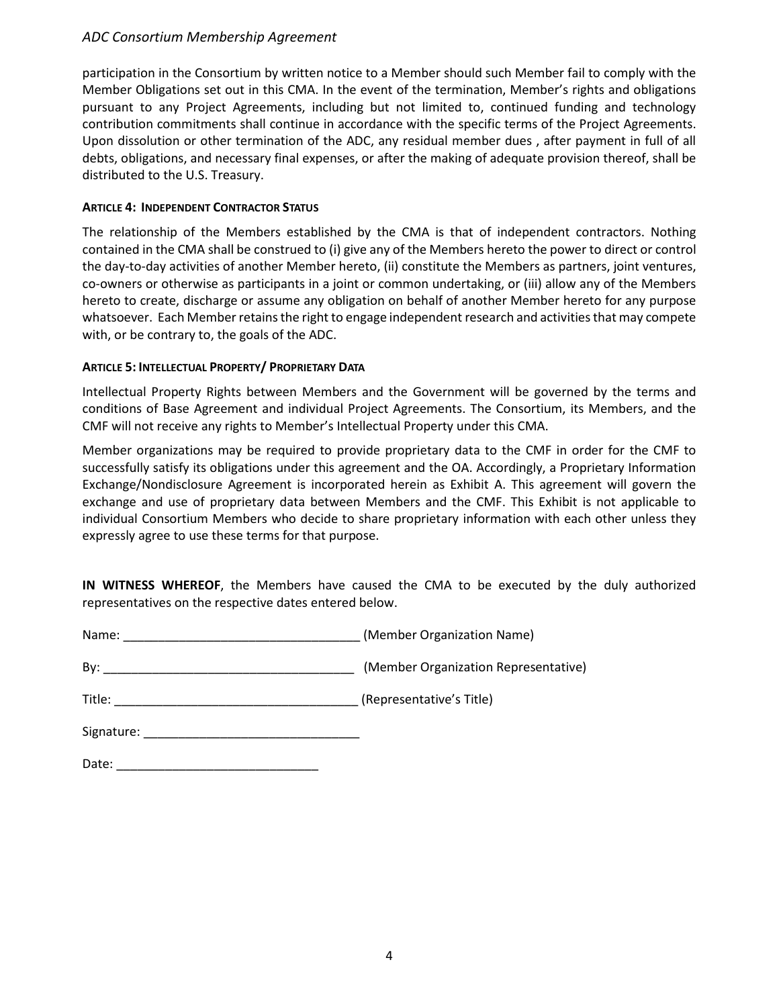# *ADC Consortium Membership Agreement*

participation in the Consortium by written notice to a Member should such Member fail to comply with the Member Obligations set out in this CMA. In the event of the termination, Member's rights and obligations pursuant to any Project Agreements, including but not limited to, continued funding and technology contribution commitments shall continue in accordance with the specific terms of the Project Agreements. Upon dissolution or other termination of the ADC, any residual member dues , after payment in full of all debts, obligations, and necessary final expenses, or after the making of adequate provision thereof, shall be distributed to the U.S. Treasury.

### **ARTICLE 4: INDEPENDENT CONTRACTOR STATUS**

The relationship of the Members established by the CMA is that of independent contractors. Nothing contained in the CMA shall be construed to (i) give any of the Members hereto the power to direct or control the day-to-day activities of another Member hereto, (ii) constitute the Members as partners, joint ventures, co-owners or otherwise as participants in a joint or common undertaking, or (iii) allow any of the Members hereto to create, discharge or assume any obligation on behalf of another Member hereto for any purpose whatsoever. Each Member retains the right to engage independent research and activities that may compete with, or be contrary to, the goals of the ADC.

# **ARTICLE 5: INTELLECTUAL PROPERTY/ PROPRIETARY DATA**

Intellectual Property Rights between Members and the Government will be governed by the terms and conditions of Base Agreement and individual Project Agreements. The Consortium, its Members, and the CMF will not receive any rights to Member's Intellectual Property under this CMA.

Member organizations may be required to provide proprietary data to the CMF in order for the CMF to successfully satisfy its obligations under this agreement and the OA. Accordingly, a Proprietary Information Exchange/Nondisclosure Agreement is incorporated herein as Exhibit A. This agreement will govern the exchange and use of proprietary data between Members and the CMF. This Exhibit is not applicable to individual Consortium Members who decide to share proprietary information with each other unless they expressly agree to use these terms for that purpose.

**IN WITNESS WHEREOF**, the Members have caused the CMA to be executed by the duly authorized representatives on the respective dates entered below.

| Name: | (Member Organization Name) |
|-------|----------------------------|
|-------|----------------------------|

| Bv: | (Member Organization Representative) |
|-----|--------------------------------------|

Signature: \_\_\_\_\_\_\_\_\_\_\_\_\_\_\_\_\_\_\_\_\_\_\_\_\_\_\_\_\_\_\_

| Date: |  |
|-------|--|
|       |  |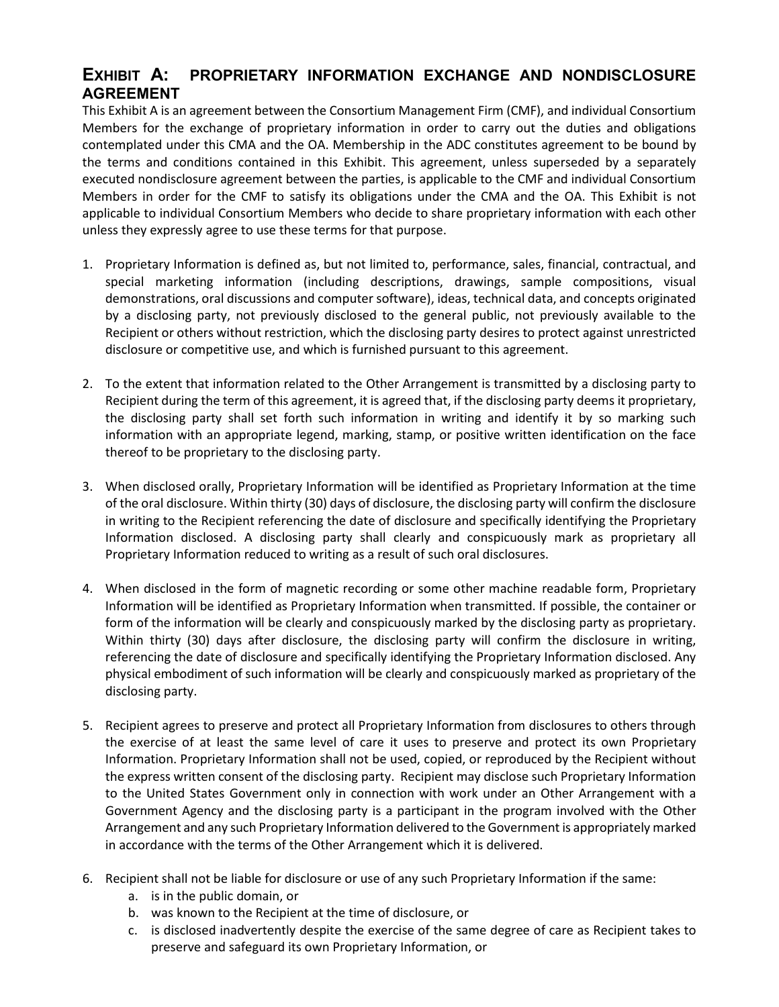# **EXHIBIT A: PROPRIETARY INFORMATION EXCHANGE AND NONDISCLOSURE AGREEMENT**

This Exhibit A is an agreement between the Consortium Management Firm (CMF), and individual Consortium Members for the exchange of proprietary information in order to carry out the duties and obligations contemplated under this CMA and the OA. Membership in the ADC constitutes agreement to be bound by the terms and conditions contained in this Exhibit. This agreement, unless superseded by a separately executed nondisclosure agreement between the parties, is applicable to the CMF and individual Consortium Members in order for the CMF to satisfy its obligations under the CMA and the OA. This Exhibit is not applicable to individual Consortium Members who decide to share proprietary information with each other unless they expressly agree to use these terms for that purpose.

- 1. Proprietary Information is defined as, but not limited to, performance, sales, financial, contractual, and special marketing information (including descriptions, drawings, sample compositions, visual demonstrations, oral discussions and computer software), ideas, technical data, and concepts originated by a disclosing party, not previously disclosed to the general public, not previously available to the Recipient or others without restriction, which the disclosing party desires to protect against unrestricted disclosure or competitive use, and which is furnished pursuant to this agreement.
- 2. To the extent that information related to the Other Arrangement is transmitted by a disclosing party to Recipient during the term of this agreement, it is agreed that, if the disclosing party deems it proprietary, the disclosing party shall set forth such information in writing and identify it by so marking such information with an appropriate legend, marking, stamp, or positive written identification on the face thereof to be proprietary to the disclosing party.
- 3. When disclosed orally, Proprietary Information will be identified as Proprietary Information at the time of the oral disclosure. Within thirty (30) days of disclosure, the disclosing party will confirm the disclosure in writing to the Recipient referencing the date of disclosure and specifically identifying the Proprietary Information disclosed. A disclosing party shall clearly and conspicuously mark as proprietary all Proprietary Information reduced to writing as a result of such oral disclosures.
- 4. When disclosed in the form of magnetic recording or some other machine readable form, Proprietary Information will be identified as Proprietary Information when transmitted. If possible, the container or form of the information will be clearly and conspicuously marked by the disclosing party as proprietary. Within thirty (30) days after disclosure, the disclosing party will confirm the disclosure in writing, referencing the date of disclosure and specifically identifying the Proprietary Information disclosed. Any physical embodiment of such information will be clearly and conspicuously marked as proprietary of the disclosing party.
- 5. Recipient agrees to preserve and protect all Proprietary Information from disclosures to others through the exercise of at least the same level of care it uses to preserve and protect its own Proprietary Information. Proprietary Information shall not be used, copied, or reproduced by the Recipient without the express written consent of the disclosing party. Recipient may disclose such Proprietary Information to the United States Government only in connection with work under an Other Arrangement with a Government Agency and the disclosing party is a participant in the program involved with the Other Arrangement and any such Proprietary Information delivered to the Government is appropriately marked in accordance with the terms of the Other Arrangement which it is delivered.
- 6. Recipient shall not be liable for disclosure or use of any such Proprietary Information if the same:
	- a. is in the public domain, or
	- b. was known to the Recipient at the time of disclosure, or
	- c. is disclosed inadvertently despite the exercise of the same degree of care as Recipient takes to preserve and safeguard its own Proprietary Information, or